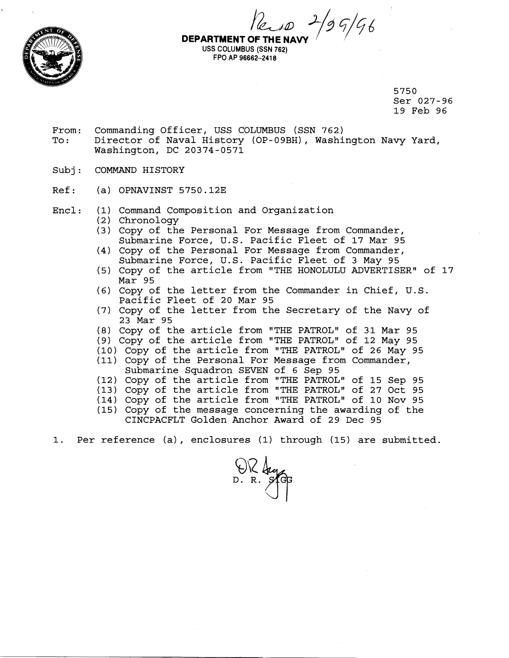



USS COLUMBUS (SSN **762)**  FPO AP **96662-241 8** 

> 5750 Ser 027-96 19 Feb 96

- From: Commanding Officer, USS COLUMBUS (SSN 762) To: Director of Naval History (OP-09BH), Washington Navy Yard, Washington, DC 20374-0571
- Subj: COMMAND HISTORY
- Ref: (a) OPNAVINST 5750.12E
- Encl: (1) Command Composition and Organization
	- (2) Chronology
	- (3) Copy of the Personal For Message from Commander, Submarine Force, U.S. Pacific Fleet of 17 Mar 95
	- (4) Copy of the Personal For Message from Commander, Submarine Force, U.S. Pacific Fleet of 3 May 95
	- (5) Copy of the article from "THE HONOLULU ADVERTISER" of 17 Mar 95
	- (6) Copy of the letter from the Commander in Chief, U.S. Pacific Fleet of 20 Mar 95
	- (7) Copy of the letter from the Secretary of the Navy of 23 Mar 95
	- (8) Copy of the article from "THE PATROL" of 31 Mar 95
	- (9) Copy of the article from "THE PATROL" of 12 May 95
	- (10) Copy of the article from "THE PATROL" of 26 May 95
	- (11) Copy of the Personal For Message from Commander, Submarine Squadron SEVEN of 6 Sep 95
	- (12) Copy of the article from "THE PATROL" of 15 Sep 95
	- (13) Copy of the article from "THE PATROL" of 27 Oct 95
	- (14) Copy of the article from "THE PATROL" of 10 Nov 95
	- (15) Copy of the message concerning the awarding of the CINCPACFLT Golden Anchor Award of 29 Dec 95
- 1. Per reference (a), enclosures **(1)** through (15) are submitted.

 $W$ lag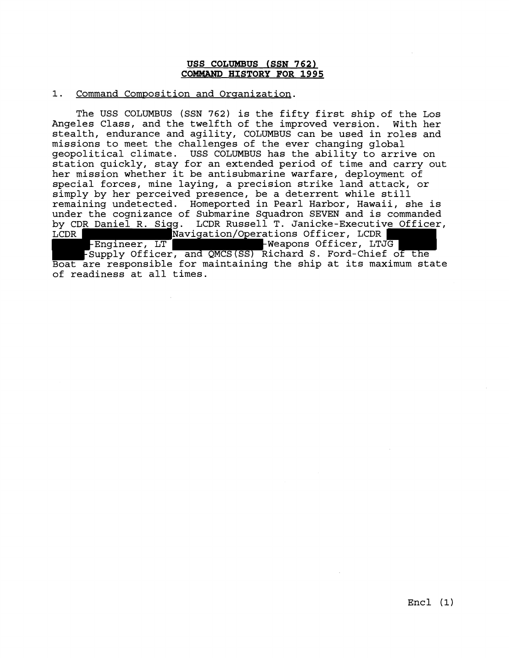## **USS COLUMBUS (SSN 762) COMMAND HISTORY FOR 1995**

## 1. Command Composition and Organization.

The USS COLUMBUS (SSN 762) is the fifty first ship of the Los Angeles Class, and the twelfth of the improved version. With her stealth, endurance and agility, COLUMBUS can be used in roles and missions to meet the challenges of the ever changing global geopolitical climate. USS COLUMBUS has the ability to arrive on station quickly, stay for an extended period of time and carry out her mission whether it be antisubmarine warfare, deployment of special forces, mine laying, a precision strike land attack, or simply by her perceived presence, be a deterrent while still remaining undetected. Homeported in Pearl Harbor, Hawaii, she is under the cognizance of Submarine Squadron SEVEN and is commanded by CDR Daniel R. Sigg. LCDR Russell T. Janicke-Executive Officer,<br>LCDR Navigation/Operations Officer, LCDR Navigation/Operations Officer, LCDR  $\vdash$ Engineer, LT  $\vdash$   $\blacksquare$   $\vdash$  Weapons Officer, LTJG -Supply Officer, and QMCS(SS) Richard S. Ford-Chief of the Boat are responsible for maintaining the ship at its maximum state of readiness at all times.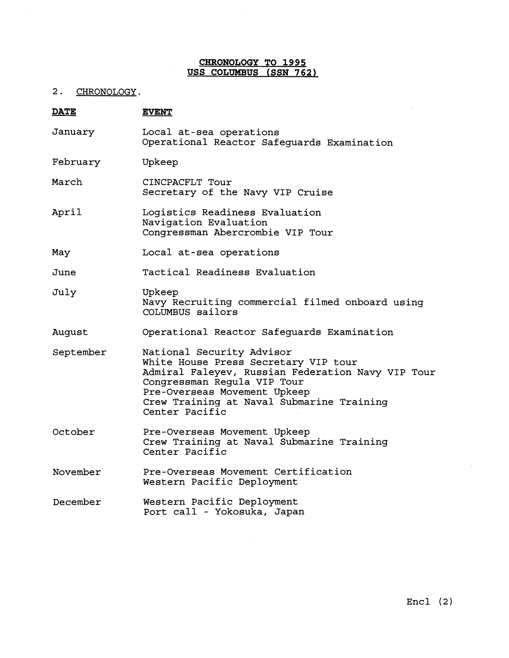# **CHRONOLOGY TO 1995 USS COLUMBUS (SSN 762)**

2. CHRONOLOGY.

| <b>DATE</b> | <b>EVENT</b>                                                                                                                                                                                                                                         |
|-------------|------------------------------------------------------------------------------------------------------------------------------------------------------------------------------------------------------------------------------------------------------|
| January     | Local at-sea operations<br>Operational Reactor Safeguards Examination                                                                                                                                                                                |
| February    | Upkeep                                                                                                                                                                                                                                               |
| March       | CINCPACFLT Tour<br>Secretary of the Navy VIP Cruise                                                                                                                                                                                                  |
| April       | Logistics Readiness Evaluation<br>Navigation Evaluation<br>Congressman Abercrombie VIP Tour                                                                                                                                                          |
| May         | Local at-sea operations                                                                                                                                                                                                                              |
| June        | Tactical Readiness Evaluation                                                                                                                                                                                                                        |
| July        | Upkeep<br>Navy Recruiting commercial filmed onboard using<br>COLUMBUS sailors                                                                                                                                                                        |
| August      | Operational Reactor Safeguards Examination                                                                                                                                                                                                           |
| September   | National Security Advisor<br>White House Press Secretary VIP tour<br>Admiral Faleyev, Russian Federation Navy VIP Tour<br>Congressman Regula VIP Tour<br>Pre-Overseas Movement Upkeep<br>Crew Training at Naval Submarine Training<br>Center Pacific |
| October     | Pre-Overseas Movement Upkeep<br>Crew Training at Naval Submarine Training<br>Center Pacific                                                                                                                                                          |
| November    | Pre-Overseas Movement Certification<br>Western Pacific Deployment                                                                                                                                                                                    |
| December    | Western Pacific Deployment<br>Port call - Yokosuka, Japan                                                                                                                                                                                            |

 $\sim$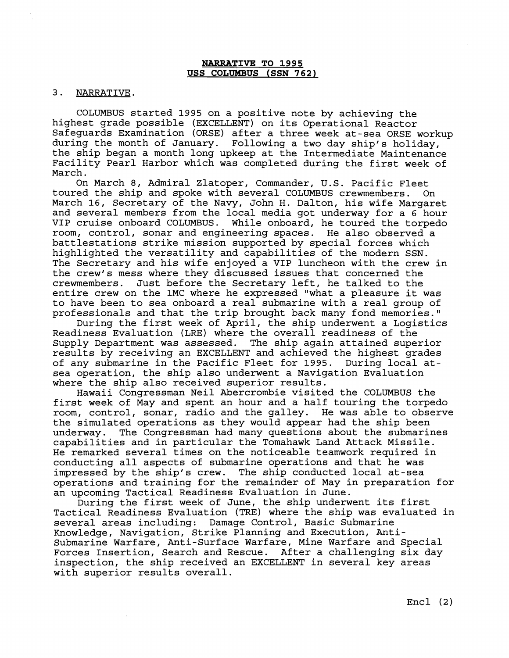## **NARRATIVE TO 1995 USS COLuMsUS (SSN 762)**

#### 3. NARRATIVE.

COLUMBUS started 1995 on a positive note by achieving the highest grade possible (EXCELLENT) on its Operational Reactor Safeguards Examination (ORSE) after a three week at-sea ORSE workup during the month of January. Following a two day ship's holiday, the ship began a month long upkeep at the Intermediate Maintenance Facility Pearl Harbor which was completed during the first week of March.

On March 8, Admiral Zlatoper, Commander, U.S. Pacific Fleet toured the ship and spoke with several COLUMBUS crewmembers. On March 16, Secretary of the Navy, John H. Dalton, his wife Margaret and several members from the local media got underway for a 6 hour VIP cruise onboard COLUMBUS. While onboard, he toured the torpedo room, control, sonar and engineering spaces. He also observed a battlestations strike mission supported by special forces which highlighted the versatility and capabilities of the modern SSN. The Secretary and his wife enjoyed a VIP luncheon with the crew in the crew's mess where they discussed issues that concerned the crewmembers. Just before the Secretary left, he talked to the Just before the Secretary left, he talked to the entire crew on the 1MC where he expressed "what a pleasure it was to have been to sea onboard a real submarine with a real group of professionals and that the trip brought back many fond memories."

During the first week of April, the ship underwent a Logistics Readiness Evaluation (LRE) where the overall readiness of the Supply Department was assessed. The ship again attained superior results by receiving an EXCELLENT and achieved the highest grades of any submarine in the Pacific Fleet for 1995. During local atsea operation, the ship also underwent a Navigation Evaluation where the ship also received superior results.

Hawaii Congressman Neil Abercrombie visited the COLUMBUS the first week of May and spent an hour and a half touring the torpedo room, control, sonar, radio and the galley. He was able to observe the simulated operations as they would appear had the ship been underway. The Congressman had many questions about the submarines capabilities and in particular the Tomahawk Land Attack Missile. He remarked several times on the noticeable teamwork required in conducting all aspects of submarine operations and that he was impressed by the ship's crew. The ship conducted local at-sea operations and training for the remainder of May in preparation for an upcoming Tactical Readiness Evaluation in June.

During the first week of June, the ship underwent its first Tactical Readiness Evaluation (TRE) where the ship was evaluated in several areas including: Damage Control, Basic Submarine Knowledge, Navigation, Strike Planning and Execution, Antisubmarine Warfare, Anti-Surface Warfare, Mine Warfare and Special Forces Insertion, Search and Rescue. After a challenging six day inspection, the ship received an EXCELLENT in several key areas with superior results overall.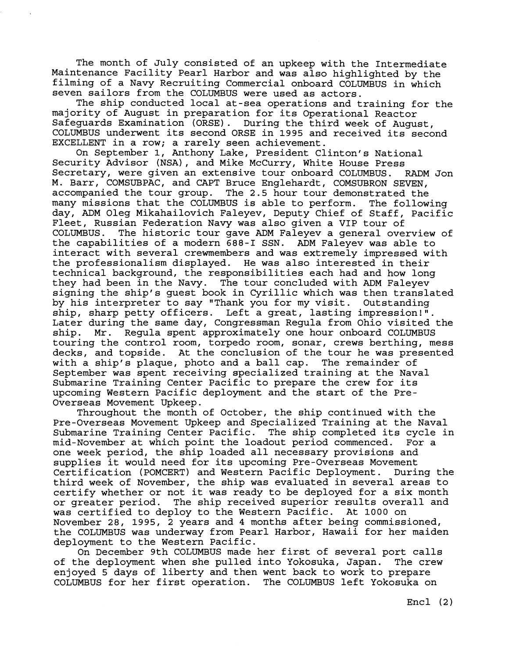The month of July consisted of an upkeep with the Intermediate Maintenance Facility Pearl Harbor and was also highlighted by the filming of a Navy Recruiting Commercial onboard COLUMBUS in which seven sailors from the COLUMBUS were used as actors.

The ship conducted local at-sea operations and training for the majority of August in preparation for its Operational Reactor Safeguards Examination (ORSE). During the third week of August, COLUMBUS underwent its second ORSE in 1995 and received its second EXCELLENT in a row; a rarely seen achievement.

On September 1, Anthony Lake, President Clinton's National Security Advisor (NSA), and Mike McCurry, White House Press Secretary, were given an extensive tour onboard COLUMBUS. RADM Jon M. Barr, COMSUBPAC, and CAPT Bruce Englehardt, COMSUBRON SEVEN, accompanied the tour group. The 2.5 hour tour demonstrated the many missions that the COLUMBUS is able to perform. The following day, ADM Oleg Mikahailovich Faleyev, Deputy Chief of Staff, Pacific Fleet, Russian Federation Navy was also given a VIP tour of COLUMBUS. The historic tour gave ADM Faleyev a general overview of the capabilities of a modern 688-1 SSN. ADM Faleyev was able to interact with several crewmembers and was extremely impressed with the professionalism displayed. He was also interested in their technical background, the responsibilities each had and how long they had been in the Navy. The tour concluded with ADM Faleyev signing the ship's guest book in Cyrillic which was then translated by his interpreter to say "Thank you for my visit. Outstanding ship, sharp petty officers. Left a great, lasting impression!". Later during the same day, Congressman Regula from Ohio visited the ship. Mr. Regula spent approximately one hour onboard COLUMBUS touring the control room, torpedo room, sonar, crews berthing, mess decks, and topside. At the conclusion of the tour he was presented with a ship's plaque, photo and a ball cap. The remainder of September was spent receiving specialized training at the Naval Submarine Training Center Pacific to prepare the crew for its upcoming Western Pacific deployment and the start of the Pre-Overseas Movement Upkeep.

Throughout the month of October, the ship continued with the Pre-Overseas Movement Upkeep and Specialized Training at the Naval Submarine Training Center Pacific. The ship completed its cycle in mid-November at which point the loadout period commenced. For a one week period, the ship loaded all necessary provisions and supplies it would need for its upcoming Pre-Overseas Movement Certification (POMCERT) and Western Pacific Deployment. During the third week of November, the ship was evaluated in several areas to certify whether or not it was ready to be deployed for a six month or greater period. The ship received superior results overall and was certified to deploy to the Western Pacific. At 1000 on November 28, 1995, 2 years and 4 months after being commissioned, the COLUMBUS was underway from Pearl Harbor, Hawaii for her maiden deployment to the Western Pacific.

On December 9th COLUMBUS made her first of several port calls of the deployment when she pulled into Yokosuka, Japan. The crew enjoyed 5 days of liberty and then went back to work to prepare COLUMBUS for her first operation. The COLUMBUS left Yokosuka on